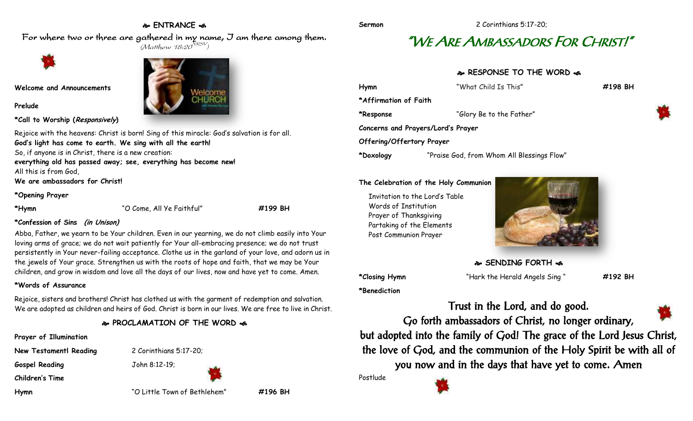### **ENTRANCE**

For where two or three are gathered in my name, I am there among them.  $(M$ atthew 18:20 $^{NRSV})$ 



**Welcome and Announcements**

**Prelude**

**\*Call to Worship (Responsively)** 

Rejoice with the heavens: Christ is born! Sing of this miracle: God's salvation is for all. **God's light has come to earth. We sing with all the earth!** So, if anyone is in Christ, there is a new creation: **everything old has passed away; see, everything has become new!** All this is from God, **We are ambassadors for Christ!**

**\*Opening Prayer**

**\*Hymn** "O Come, All Ye Faithful" **#199 BH**

### **\*Confession of Sins (in Unison)**

Abba, Father, we yearn to be Your children. Even in our yearning, we do not climb easily into Your loving arms of grace; we do not wait patiently for Your all-embracing presence; we do not trust persistently in Your never-failing acceptance. Clothe us in the garland of your love, and adorn us in the jewels of Your grace. Strengthen us with the roots of hope and faith, that we may be Your children, and grow in wisdom and love all the days of our lives, now and have yet to come. Amen.

### **\*Words of Assurance**

Rejoice, sisters and brothers! Christ has clothed us with the garment of redemption and salvation. We are adopted as children and heirs of God. Christ is born in our lives. We are free to live in Christ.

### **PROCLAMATION OF THE WORD**

**Prayer of Illumination**

**Gospel Reading** John 8:12-19;

**Children's Time**

**New Testamentl Reading** 2 Corinthians 5:17-20;





**Hymn** "O Little Town of Bethlehem" **#196 BH**

# "WE ARE AMBASSADORS FOR CHRIST!"

**RESPONSE TO THE WORD**  $\approx$ 

| Hymn                               | "What Child Is This"                       | #198 BH |
|------------------------------------|--------------------------------------------|---------|
| *Affirmation of Faith              |                                            |         |
| *Response                          | "Glory Be to the Father"                   |         |
| Concerns and Prayers/Lord's Prayer |                                            |         |
| Offering/Offertory Prayer          |                                            |         |
| *Doxology                          | "Praise God, from Whom All Blessings Flow" |         |

#### **The Celebration of the Holy Communion**

Invitation to the Lord's Table Words of Institution Prayer of Thanksgiving Partaking of the Elements Post Communion Prayer



**SENDING FORTH** 

**\*Benediction**

**\*Closing Hymn** "Hark the Herald Angels Sing " **#192 BH**

Trust in the Lord, and do good.

Go forth ambassadors of Christ, no longer ordinary, but adopted into the family of God! The grace of the Lord Jesus Christ, the love of God, and the communion of the Holy Spirit be with all of you now and in the days that have yet to come. Amen

Postlude